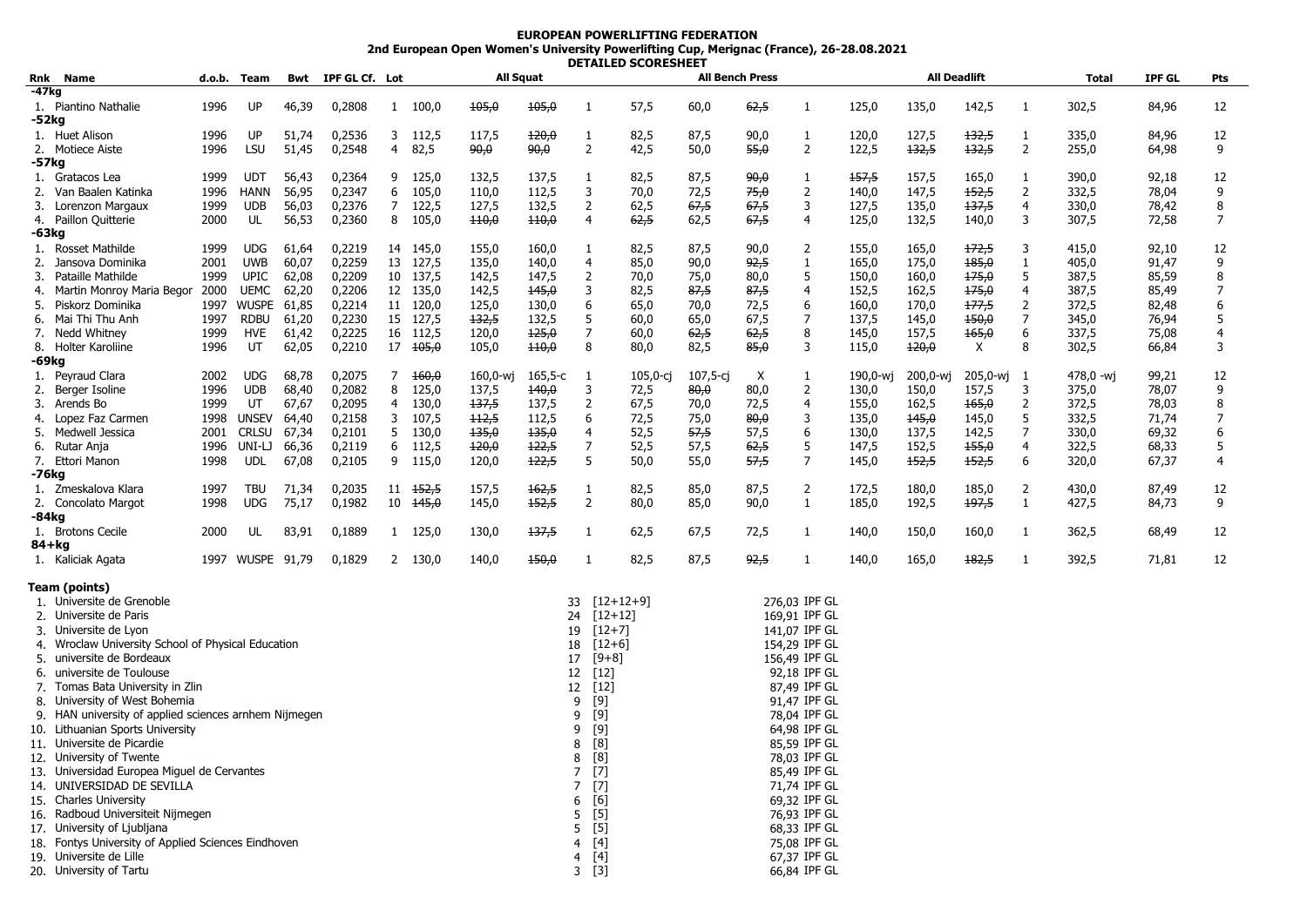## **EUROPEAN POWERLIFTING FEDERATION 2nd European Open Women's University Powerlifting Cup, Merignac (France), 26-28.08.2021 DETAILED SCORESHEET**

| -47kg<br>142,5<br>1. Piantino Nathalie<br>1996<br>UP<br>46,39<br>0,2808<br>100,0<br>105,0<br>105,0<br>57,5<br>62,5<br>135,0<br>302,5<br>84,96<br>12<br>1<br>60,0<br>125,0<br>$\mathbf{1}$<br>-1<br>-1<br>-52kg<br>1996<br>51,74<br>0,2536<br>112,5<br>117,5<br>120,0<br>82,5<br>90,0<br>120,0<br>127,5<br>132,5<br>84,96<br>12<br>1. Huet Alison<br>UP<br>3<br>1<br>87,5<br>335,0<br>1<br>1<br>2<br>2<br>132,5<br>132,5<br>$\overline{2}$<br>1996<br>LSU<br>51,45<br>0,2548<br>4<br>82,5<br>90,0<br><del>90,0</del><br>42,5<br>50,0<br>55,0<br>122,5<br>255,0<br>64,98<br>9<br>2. Motiece Aiste<br>-57kg<br>1999<br><b>UDT</b><br>56,43<br>0,2364<br>9<br>125,0<br>132,5<br>137,5<br>1<br>82,5<br>87,5<br>90,0<br>157,5<br>157,5<br>165,0<br>390,0<br>92,18<br>12<br>1. Gratacos Lea<br>1<br>1<br>0,2347<br>105,0<br>3<br>70,0<br>72,5<br>75,0<br>2<br>152,5<br>2<br>9<br>Van Baalen Katinka<br>1996<br>HANN<br>56,95<br>6<br>110,0<br>112,5<br>140,0<br>147,5<br>332,5<br>78,04<br>2.<br>$\overline{2}$<br>3<br>8<br>Lorenzon Margaux<br>1999<br><b>UDB</b><br>56,03<br>0,2376<br>7<br>122,5<br>127,5<br>132,5<br>62,5<br>67,5<br>67,5<br>127,5<br>135,0<br>137,5<br>4<br>330,0<br>78,42<br>3.<br>2000<br>56,53<br>0,2360<br>105,0<br>62,5<br>132,5<br>3<br>7<br>4. Paillon Quitterie<br>UL<br>8<br>110,0<br>$+10,0$<br>4<br>62,5<br>67,5<br>4<br>125,0<br>140,0<br>307,5<br>72,58<br>-63kg<br>0,2219<br>82,5<br>172,5<br>92,10<br>1999<br><b>UDG</b><br>61,64<br>14 145,0<br>155,0<br>160,0<br>87,5<br>90,0<br>155,0<br>165,0<br>3<br>415,0<br>12<br>1. Rosset Mathilde<br>1<br>2<br>60,07<br>0,2259<br>13 127,5<br>4<br>92,5<br>175,0<br>185,0<br>1<br>9<br>2.<br>Jansova Dominika<br>2001<br><b>UWB</b><br>135,0<br>140,0<br>85,0<br>90,0<br>1<br>165,0<br>405,0<br>91,47<br><b>UPIC</b><br>0,2209<br>2<br>5<br>5<br>85,59<br>8<br>Pataille Mathilde<br>1999<br>62,08<br>10 137,5<br>142,5<br>147,5<br>70,0<br>75,0<br>80,0<br>150,0<br>160,0<br>175,0<br>387,5<br>3.<br>0,2206<br>3<br>175,0<br>7<br>2000<br>UEMC<br>62,20<br>12 135,0<br>142,5<br>145,0<br>82,5<br>87,5<br>87,5<br>$\overline{4}$<br>152,5<br>162,5<br>4<br>387,5<br>85,49<br>Martin Monroy Maria Begor<br>4.<br>6<br>6<br>Piskorz Dominika<br>1997<br>WUSPE<br>61,85<br>0,2214<br>11 120,0<br>125,0<br>130,0<br>6<br>65,0<br>70,0<br>72,5<br>160,0<br>170,0<br>177,5<br>2<br>372,5<br>82,48<br>5.<br>Mai Thi Thu Anh<br>5<br>7<br>7<br>5<br>1997<br><b>RDBU</b><br>61,20<br>0,2230<br>15 127,5<br>132,5<br>132,5<br>60,0<br>65,0<br>67,5<br>137,5<br>145,0<br>150,0<br>345,0<br>76,94<br>6.<br>7<br>1999<br>HVE<br>61,42<br>0,2225<br>16 112,5<br>120,0<br>125,0<br>60,0<br>62,5<br>8<br>145,0<br>157,5<br>165,0<br>6<br>337,5<br>75,08<br>7. Nedd Whitney<br>62,5<br>4<br>0,2210<br>3<br>Χ<br>8<br>3<br>8. Holter Karoliine<br>1996<br>UT<br>62,05<br>17 <del>105,0</del><br>105,0<br>$+10,0$<br>8<br>80,0<br>82,5<br>85,0<br>115,0<br>120,0<br>302,5<br>66,84<br>-69kg<br>1. Peyraud Clara<br>2002<br><b>UDG</b><br>68,78<br>0,2075<br>160,0<br>160,0-wj<br>$105,0-cj$<br>107,5-cj<br>X<br>190,0-wj<br>205,0-wj<br>99,21<br>12<br>7<br>165,5-c<br>200,0-wj<br>478,0 -wj<br>-1<br>1<br>-1<br>1996<br><b>UDB</b><br>125,0<br>140,0<br>3<br>80,0<br>2<br>157,5<br>9<br>68,40<br>0,2082<br>8<br>137,5<br>72,5<br>80,0<br>130,0<br>150,0<br>3<br>375,0<br>78,07<br>2.<br>Berger Isoline<br>1999<br>UT<br>0,2095<br>130,0<br>137,5<br>2<br>67,5<br>4<br>165,0<br>2<br>8<br>Arends Bo<br>67,67<br>137,5<br>70,0<br>72,5<br>155,0<br>162,5<br>372,5<br>78,03<br>3.<br>4<br><b>UNSEV</b><br>0,2158<br>107,5<br>6<br>72,5<br>3<br>135,0<br>145,0<br>5<br>332,5<br>71,74<br>7<br>Lopez Faz Carmen<br>1998<br>64,40<br>3<br>$+12,5$<br>112,5<br>75,0<br>80,0<br>145,0<br>4.<br>6<br>0,2101<br>135,0<br>135,0<br>4<br>52,5<br>57,5<br>57,5<br>$\overline{7}$<br>6<br>Medwell Jessica<br>2001<br><b>CRLSU</b><br>67,34<br>130,0<br>130,0<br>137,5<br>142,5<br>330,0<br>69,32<br>5.<br>5<br>7<br>5<br>57,5<br>155,0<br>5<br>1996<br>66,36<br>0,2119<br>6<br>112,5<br>120,0<br>122,5<br>52,5<br>62,5<br>147,5<br>152,5<br>4<br>322,5<br>68,33<br>6.<br>Rutar Ania<br>UNI-LJ<br>5<br>7<br>6<br>7. Ettori Manon<br>1998<br><b>UDL</b><br>0,2105<br>115,0<br>122,5<br>50,0<br>57,5<br>152,5<br>152,5<br>67,37<br>67,08<br>9<br>120,0<br>55,0<br>145,0<br>320,0<br>4<br>-76kg<br>71,34<br>0,2035<br>11 + 152, 5<br>157,5<br>82,5<br>87,5<br>2<br>172,5<br>180,0<br>185,0<br>2<br>430,0<br>87,49<br>12<br>1. Zmeskalova Klara<br>1997<br><b>TBU</b><br><del>162,5</del><br>1<br>85,0<br>$\overline{2}$<br>2. Concolato Margot<br>1998<br><b>UDG</b><br>75,17<br>0,1982<br>10<br>145,0<br>145,0<br>152,5<br>80,0<br>90,0<br>1<br>185,0<br>192,5<br>197,5<br>$\mathbf{1}$<br>427,5<br>84,73<br>9<br>85,0<br>-84kg<br>1. Brotons Cecile<br>2000<br>83,91<br>0,1889<br>1 125,0<br>130,0<br>137,5<br>1<br>62,5<br>72,5<br>140,0<br>150,0<br>160,0<br>362,5<br>68,49<br>12<br>UL<br>67,5<br>1<br>-1<br>84+kg<br>1997 WUSPE 91,79<br>92,5<br>182,5<br>0,1829<br>130,0<br>140,0<br>450,0<br>82,5<br>87,5<br>140,0<br>165,0<br>392,5<br>71,81<br>12<br>1. Kaliciak Agata<br>$\mathbf{2}$<br>-1<br>1<br>-1<br>Team (points)<br>1. Universite de Grenoble<br>$[12+12+9]$<br>276,03 IPF GL<br>33<br>2. Universite de Paris<br>$[12+12]$<br>169,91 IPF GL<br>24<br>$[12+7]$<br>3. Universite de Lyon<br>141,07 IPF GL<br>19<br>Wroclaw University School of Physical Education<br>$[12+6]$<br>154,29 IPF GL<br>4.<br>18<br>5. universite de Bordeaux<br>[9+8]<br>156,49 IPF GL<br>17<br>6. universite de Toulouse<br>[12]<br>92,18 IPF GL<br>12<br>7. Tomas Bata University in Zlin<br>[12]<br>12<br>87,49 IPF GL<br>[9]<br>91,47 IPF GL<br>8. University of West Bohemia<br>9<br>[9]<br>9. HAN university of applied sciences arnhem Nijmegen<br>9<br>78,04 IPF GL<br>[9]<br>10. Lithuanian Sports University<br>64,98 IPF GL<br>9<br>11. Universite de Picardie<br>[8]<br>85,59 IPF GL<br>8<br>8<br>[8]<br>78,03 IPF GL<br>85,49 IPF GL<br>13. Universidad Europea Miguel de Cervantes<br>$[7]$<br>7<br>14. UNIVERSIDAD DE SEVILLA<br>$[7]$<br>71,74 IPF GL<br>7<br>15. Charles University<br>[6]<br>69,32 IPF GL<br>6<br>16. Radboud Universiteit Nijmegen<br>$[5]$<br>76,93 IPF GL<br>5<br>17. University of Ljubljana<br>$[5]$<br>68,33 IPF GL<br>5<br>18. Fontys University of Applied Sciences Eindhoven<br>75,08 IPF GL<br>[4]<br>4<br>19. Universite de Lille<br>$[4] % \includegraphics[width=0.9\columnwidth]{figures/fig_4} \caption{A=}\ \vspace{0.8cm} \label{fig:4}} %$<br>67,37 IPF GL<br>4<br>20. University of Tartu<br>66,84 IPF GL<br>$3^{5}$ [3] |                          | Rnk Name | d.o.b. | Team | Bwt | <b>IPF GL Cf.</b> Lot |  | All Squat |  |  |  | <b>All Bench Press</b> |  |  |  | <b>All Deadlift</b> |  |  | Total | <b>IPF GL</b> | Pts |
|--------------------------------------------------------------------------------------------------------------------------------------------------------------------------------------------------------------------------------------------------------------------------------------------------------------------------------------------------------------------------------------------------------------------------------------------------------------------------------------------------------------------------------------------------------------------------------------------------------------------------------------------------------------------------------------------------------------------------------------------------------------------------------------------------------------------------------------------------------------------------------------------------------------------------------------------------------------------------------------------------------------------------------------------------------------------------------------------------------------------------------------------------------------------------------------------------------------------------------------------------------------------------------------------------------------------------------------------------------------------------------------------------------------------------------------------------------------------------------------------------------------------------------------------------------------------------------------------------------------------------------------------------------------------------------------------------------------------------------------------------------------------------------------------------------------------------------------------------------------------------------------------------------------------------------------------------------------------------------------------------------------------------------------------------------------------------------------------------------------------------------------------------------------------------------------------------------------------------------------------------------------------------------------------------------------------------------------------------------------------------------------------------------------------------------------------------------------------------------------------------------------------------------------------------------------------------------------------------------------------------------------------------------------------------------------------------------------------------------------------------------------------------------------------------------------------------------------------------------------------------------------------------------------------------------------------------------------------------------------------------------------------------------------------------------------------------------------------------------------------------------------------------------------------------------------------------------------------------------------------------------------------------------------------------------------------------------------------------------------------------------------------------------------------------------------------------------------------------------------------------------------------------------------------------------------------------------------------------------------------------------------------------------------------------------------------------------------------------------------------------------------------------------------------------------------------------------------------------------------------------------------------------------------------------------------------------------------------------------------------------------------------------------------------------------------------------------------------------------------------------------------------------------------------------------------------------------------------------------------------------------------------------------------------------------------------------------------------------------------------------------------------------------------------------------------------------------------------------------------------------------------------------------------------------------------------------------------------------------------------------------------------------------------------------------------------------------------------------------------------------------------------------------------------------------------------------------------------------------------------------------------------------------------------------------------------------------------------------------------------------------------------------------------------------------------------------------------------------------------------------------------------------------------------------------------------------------------------------------------------------------------------------------------------------------------------------------------------------------------------------------------------------------------------------------------------------------------------------------------------------------------------------------------------------------------------------------------------------------------------------------------------------------------------------------------------------------------------------------------------------------------------------------------------------------------------------------------------------------------------------------------------------------------------------------------------------------------------------------------------------------------------------------------------------------------------------------------------------------------------------------------------------------------------------------------------------------------------------------------------------------------------------------------------------------------------------------------------------------------------------------------------------------------------------------------------------------------------------------------------------------------------------------------------------------------------------------------------------------------|--------------------------|----------|--------|------|-----|-----------------------|--|-----------|--|--|--|------------------------|--|--|--|---------------------|--|--|-------|---------------|-----|
|                                                                                                                                                                                                                                                                                                                                                                                                                                                                                                                                                                                                                                                                                                                                                                                                                                                                                                                                                                                                                                                                                                                                                                                                                                                                                                                                                                                                                                                                                                                                                                                                                                                                                                                                                                                                                                                                                                                                                                                                                                                                                                                                                                                                                                                                                                                                                                                                                                                                                                                                                                                                                                                                                                                                                                                                                                                                                                                                                                                                                                                                                                                                                                                                                                                                                                                                                                                                                                                                                                                                                                                                                                                                                                                                                                                                                                                                                                                                                                                                                                                                                                                                                                                                                                                                                                                                                                                                                                                                                                                                                                                                                                                                                                                                                                                                                                                                                                                                                                                                                                                                                                                                                                                                                                                                                                                                                                                                                                                                                                                                                                                                                                                                                                                                                                                                                                                                                                                                                                                                                                                                                                                                                                                                                                                                                                                                                                                                                                                                                                                                                                                                              |                          |          |        |      |     |                       |  |           |  |  |  |                        |  |  |  |                     |  |  |       |               |     |
|                                                                                                                                                                                                                                                                                                                                                                                                                                                                                                                                                                                                                                                                                                                                                                                                                                                                                                                                                                                                                                                                                                                                                                                                                                                                                                                                                                                                                                                                                                                                                                                                                                                                                                                                                                                                                                                                                                                                                                                                                                                                                                                                                                                                                                                                                                                                                                                                                                                                                                                                                                                                                                                                                                                                                                                                                                                                                                                                                                                                                                                                                                                                                                                                                                                                                                                                                                                                                                                                                                                                                                                                                                                                                                                                                                                                                                                                                                                                                                                                                                                                                                                                                                                                                                                                                                                                                                                                                                                                                                                                                                                                                                                                                                                                                                                                                                                                                                                                                                                                                                                                                                                                                                                                                                                                                                                                                                                                                                                                                                                                                                                                                                                                                                                                                                                                                                                                                                                                                                                                                                                                                                                                                                                                                                                                                                                                                                                                                                                                                                                                                                                                              |                          |          |        |      |     |                       |  |           |  |  |  |                        |  |  |  |                     |  |  |       |               |     |
|                                                                                                                                                                                                                                                                                                                                                                                                                                                                                                                                                                                                                                                                                                                                                                                                                                                                                                                                                                                                                                                                                                                                                                                                                                                                                                                                                                                                                                                                                                                                                                                                                                                                                                                                                                                                                                                                                                                                                                                                                                                                                                                                                                                                                                                                                                                                                                                                                                                                                                                                                                                                                                                                                                                                                                                                                                                                                                                                                                                                                                                                                                                                                                                                                                                                                                                                                                                                                                                                                                                                                                                                                                                                                                                                                                                                                                                                                                                                                                                                                                                                                                                                                                                                                                                                                                                                                                                                                                                                                                                                                                                                                                                                                                                                                                                                                                                                                                                                                                                                                                                                                                                                                                                                                                                                                                                                                                                                                                                                                                                                                                                                                                                                                                                                                                                                                                                                                                                                                                                                                                                                                                                                                                                                                                                                                                                                                                                                                                                                                                                                                                                                              |                          |          |        |      |     |                       |  |           |  |  |  |                        |  |  |  |                     |  |  |       |               |     |
|                                                                                                                                                                                                                                                                                                                                                                                                                                                                                                                                                                                                                                                                                                                                                                                                                                                                                                                                                                                                                                                                                                                                                                                                                                                                                                                                                                                                                                                                                                                                                                                                                                                                                                                                                                                                                                                                                                                                                                                                                                                                                                                                                                                                                                                                                                                                                                                                                                                                                                                                                                                                                                                                                                                                                                                                                                                                                                                                                                                                                                                                                                                                                                                                                                                                                                                                                                                                                                                                                                                                                                                                                                                                                                                                                                                                                                                                                                                                                                                                                                                                                                                                                                                                                                                                                                                                                                                                                                                                                                                                                                                                                                                                                                                                                                                                                                                                                                                                                                                                                                                                                                                                                                                                                                                                                                                                                                                                                                                                                                                                                                                                                                                                                                                                                                                                                                                                                                                                                                                                                                                                                                                                                                                                                                                                                                                                                                                                                                                                                                                                                                                                              |                          |          |        |      |     |                       |  |           |  |  |  |                        |  |  |  |                     |  |  |       |               |     |
|                                                                                                                                                                                                                                                                                                                                                                                                                                                                                                                                                                                                                                                                                                                                                                                                                                                                                                                                                                                                                                                                                                                                                                                                                                                                                                                                                                                                                                                                                                                                                                                                                                                                                                                                                                                                                                                                                                                                                                                                                                                                                                                                                                                                                                                                                                                                                                                                                                                                                                                                                                                                                                                                                                                                                                                                                                                                                                                                                                                                                                                                                                                                                                                                                                                                                                                                                                                                                                                                                                                                                                                                                                                                                                                                                                                                                                                                                                                                                                                                                                                                                                                                                                                                                                                                                                                                                                                                                                                                                                                                                                                                                                                                                                                                                                                                                                                                                                                                                                                                                                                                                                                                                                                                                                                                                                                                                                                                                                                                                                                                                                                                                                                                                                                                                                                                                                                                                                                                                                                                                                                                                                                                                                                                                                                                                                                                                                                                                                                                                                                                                                                                              |                          |          |        |      |     |                       |  |           |  |  |  |                        |  |  |  |                     |  |  |       |               |     |
|                                                                                                                                                                                                                                                                                                                                                                                                                                                                                                                                                                                                                                                                                                                                                                                                                                                                                                                                                                                                                                                                                                                                                                                                                                                                                                                                                                                                                                                                                                                                                                                                                                                                                                                                                                                                                                                                                                                                                                                                                                                                                                                                                                                                                                                                                                                                                                                                                                                                                                                                                                                                                                                                                                                                                                                                                                                                                                                                                                                                                                                                                                                                                                                                                                                                                                                                                                                                                                                                                                                                                                                                                                                                                                                                                                                                                                                                                                                                                                                                                                                                                                                                                                                                                                                                                                                                                                                                                                                                                                                                                                                                                                                                                                                                                                                                                                                                                                                                                                                                                                                                                                                                                                                                                                                                                                                                                                                                                                                                                                                                                                                                                                                                                                                                                                                                                                                                                                                                                                                                                                                                                                                                                                                                                                                                                                                                                                                                                                                                                                                                                                                                              |                          |          |        |      |     |                       |  |           |  |  |  |                        |  |  |  |                     |  |  |       |               |     |
|                                                                                                                                                                                                                                                                                                                                                                                                                                                                                                                                                                                                                                                                                                                                                                                                                                                                                                                                                                                                                                                                                                                                                                                                                                                                                                                                                                                                                                                                                                                                                                                                                                                                                                                                                                                                                                                                                                                                                                                                                                                                                                                                                                                                                                                                                                                                                                                                                                                                                                                                                                                                                                                                                                                                                                                                                                                                                                                                                                                                                                                                                                                                                                                                                                                                                                                                                                                                                                                                                                                                                                                                                                                                                                                                                                                                                                                                                                                                                                                                                                                                                                                                                                                                                                                                                                                                                                                                                                                                                                                                                                                                                                                                                                                                                                                                                                                                                                                                                                                                                                                                                                                                                                                                                                                                                                                                                                                                                                                                                                                                                                                                                                                                                                                                                                                                                                                                                                                                                                                                                                                                                                                                                                                                                                                                                                                                                                                                                                                                                                                                                                                                              |                          |          |        |      |     |                       |  |           |  |  |  |                        |  |  |  |                     |  |  |       |               |     |
|                                                                                                                                                                                                                                                                                                                                                                                                                                                                                                                                                                                                                                                                                                                                                                                                                                                                                                                                                                                                                                                                                                                                                                                                                                                                                                                                                                                                                                                                                                                                                                                                                                                                                                                                                                                                                                                                                                                                                                                                                                                                                                                                                                                                                                                                                                                                                                                                                                                                                                                                                                                                                                                                                                                                                                                                                                                                                                                                                                                                                                                                                                                                                                                                                                                                                                                                                                                                                                                                                                                                                                                                                                                                                                                                                                                                                                                                                                                                                                                                                                                                                                                                                                                                                                                                                                                                                                                                                                                                                                                                                                                                                                                                                                                                                                                                                                                                                                                                                                                                                                                                                                                                                                                                                                                                                                                                                                                                                                                                                                                                                                                                                                                                                                                                                                                                                                                                                                                                                                                                                                                                                                                                                                                                                                                                                                                                                                                                                                                                                                                                                                                                              |                          |          |        |      |     |                       |  |           |  |  |  |                        |  |  |  |                     |  |  |       |               |     |
|                                                                                                                                                                                                                                                                                                                                                                                                                                                                                                                                                                                                                                                                                                                                                                                                                                                                                                                                                                                                                                                                                                                                                                                                                                                                                                                                                                                                                                                                                                                                                                                                                                                                                                                                                                                                                                                                                                                                                                                                                                                                                                                                                                                                                                                                                                                                                                                                                                                                                                                                                                                                                                                                                                                                                                                                                                                                                                                                                                                                                                                                                                                                                                                                                                                                                                                                                                                                                                                                                                                                                                                                                                                                                                                                                                                                                                                                                                                                                                                                                                                                                                                                                                                                                                                                                                                                                                                                                                                                                                                                                                                                                                                                                                                                                                                                                                                                                                                                                                                                                                                                                                                                                                                                                                                                                                                                                                                                                                                                                                                                                                                                                                                                                                                                                                                                                                                                                                                                                                                                                                                                                                                                                                                                                                                                                                                                                                                                                                                                                                                                                                                                              |                          |          |        |      |     |                       |  |           |  |  |  |                        |  |  |  |                     |  |  |       |               |     |
|                                                                                                                                                                                                                                                                                                                                                                                                                                                                                                                                                                                                                                                                                                                                                                                                                                                                                                                                                                                                                                                                                                                                                                                                                                                                                                                                                                                                                                                                                                                                                                                                                                                                                                                                                                                                                                                                                                                                                                                                                                                                                                                                                                                                                                                                                                                                                                                                                                                                                                                                                                                                                                                                                                                                                                                                                                                                                                                                                                                                                                                                                                                                                                                                                                                                                                                                                                                                                                                                                                                                                                                                                                                                                                                                                                                                                                                                                                                                                                                                                                                                                                                                                                                                                                                                                                                                                                                                                                                                                                                                                                                                                                                                                                                                                                                                                                                                                                                                                                                                                                                                                                                                                                                                                                                                                                                                                                                                                                                                                                                                                                                                                                                                                                                                                                                                                                                                                                                                                                                                                                                                                                                                                                                                                                                                                                                                                                                                                                                                                                                                                                                                              |                          |          |        |      |     |                       |  |           |  |  |  |                        |  |  |  |                     |  |  |       |               |     |
|                                                                                                                                                                                                                                                                                                                                                                                                                                                                                                                                                                                                                                                                                                                                                                                                                                                                                                                                                                                                                                                                                                                                                                                                                                                                                                                                                                                                                                                                                                                                                                                                                                                                                                                                                                                                                                                                                                                                                                                                                                                                                                                                                                                                                                                                                                                                                                                                                                                                                                                                                                                                                                                                                                                                                                                                                                                                                                                                                                                                                                                                                                                                                                                                                                                                                                                                                                                                                                                                                                                                                                                                                                                                                                                                                                                                                                                                                                                                                                                                                                                                                                                                                                                                                                                                                                                                                                                                                                                                                                                                                                                                                                                                                                                                                                                                                                                                                                                                                                                                                                                                                                                                                                                                                                                                                                                                                                                                                                                                                                                                                                                                                                                                                                                                                                                                                                                                                                                                                                                                                                                                                                                                                                                                                                                                                                                                                                                                                                                                                                                                                                                                              |                          |          |        |      |     |                       |  |           |  |  |  |                        |  |  |  |                     |  |  |       |               |     |
|                                                                                                                                                                                                                                                                                                                                                                                                                                                                                                                                                                                                                                                                                                                                                                                                                                                                                                                                                                                                                                                                                                                                                                                                                                                                                                                                                                                                                                                                                                                                                                                                                                                                                                                                                                                                                                                                                                                                                                                                                                                                                                                                                                                                                                                                                                                                                                                                                                                                                                                                                                                                                                                                                                                                                                                                                                                                                                                                                                                                                                                                                                                                                                                                                                                                                                                                                                                                                                                                                                                                                                                                                                                                                                                                                                                                                                                                                                                                                                                                                                                                                                                                                                                                                                                                                                                                                                                                                                                                                                                                                                                                                                                                                                                                                                                                                                                                                                                                                                                                                                                                                                                                                                                                                                                                                                                                                                                                                                                                                                                                                                                                                                                                                                                                                                                                                                                                                                                                                                                                                                                                                                                                                                                                                                                                                                                                                                                                                                                                                                                                                                                                              |                          |          |        |      |     |                       |  |           |  |  |  |                        |  |  |  |                     |  |  |       |               |     |
|                                                                                                                                                                                                                                                                                                                                                                                                                                                                                                                                                                                                                                                                                                                                                                                                                                                                                                                                                                                                                                                                                                                                                                                                                                                                                                                                                                                                                                                                                                                                                                                                                                                                                                                                                                                                                                                                                                                                                                                                                                                                                                                                                                                                                                                                                                                                                                                                                                                                                                                                                                                                                                                                                                                                                                                                                                                                                                                                                                                                                                                                                                                                                                                                                                                                                                                                                                                                                                                                                                                                                                                                                                                                                                                                                                                                                                                                                                                                                                                                                                                                                                                                                                                                                                                                                                                                                                                                                                                                                                                                                                                                                                                                                                                                                                                                                                                                                                                                                                                                                                                                                                                                                                                                                                                                                                                                                                                                                                                                                                                                                                                                                                                                                                                                                                                                                                                                                                                                                                                                                                                                                                                                                                                                                                                                                                                                                                                                                                                                                                                                                                                                              |                          |          |        |      |     |                       |  |           |  |  |  |                        |  |  |  |                     |  |  |       |               |     |
|                                                                                                                                                                                                                                                                                                                                                                                                                                                                                                                                                                                                                                                                                                                                                                                                                                                                                                                                                                                                                                                                                                                                                                                                                                                                                                                                                                                                                                                                                                                                                                                                                                                                                                                                                                                                                                                                                                                                                                                                                                                                                                                                                                                                                                                                                                                                                                                                                                                                                                                                                                                                                                                                                                                                                                                                                                                                                                                                                                                                                                                                                                                                                                                                                                                                                                                                                                                                                                                                                                                                                                                                                                                                                                                                                                                                                                                                                                                                                                                                                                                                                                                                                                                                                                                                                                                                                                                                                                                                                                                                                                                                                                                                                                                                                                                                                                                                                                                                                                                                                                                                                                                                                                                                                                                                                                                                                                                                                                                                                                                                                                                                                                                                                                                                                                                                                                                                                                                                                                                                                                                                                                                                                                                                                                                                                                                                                                                                                                                                                                                                                                                                              |                          |          |        |      |     |                       |  |           |  |  |  |                        |  |  |  |                     |  |  |       |               |     |
|                                                                                                                                                                                                                                                                                                                                                                                                                                                                                                                                                                                                                                                                                                                                                                                                                                                                                                                                                                                                                                                                                                                                                                                                                                                                                                                                                                                                                                                                                                                                                                                                                                                                                                                                                                                                                                                                                                                                                                                                                                                                                                                                                                                                                                                                                                                                                                                                                                                                                                                                                                                                                                                                                                                                                                                                                                                                                                                                                                                                                                                                                                                                                                                                                                                                                                                                                                                                                                                                                                                                                                                                                                                                                                                                                                                                                                                                                                                                                                                                                                                                                                                                                                                                                                                                                                                                                                                                                                                                                                                                                                                                                                                                                                                                                                                                                                                                                                                                                                                                                                                                                                                                                                                                                                                                                                                                                                                                                                                                                                                                                                                                                                                                                                                                                                                                                                                                                                                                                                                                                                                                                                                                                                                                                                                                                                                                                                                                                                                                                                                                                                                                              |                          |          |        |      |     |                       |  |           |  |  |  |                        |  |  |  |                     |  |  |       |               |     |
|                                                                                                                                                                                                                                                                                                                                                                                                                                                                                                                                                                                                                                                                                                                                                                                                                                                                                                                                                                                                                                                                                                                                                                                                                                                                                                                                                                                                                                                                                                                                                                                                                                                                                                                                                                                                                                                                                                                                                                                                                                                                                                                                                                                                                                                                                                                                                                                                                                                                                                                                                                                                                                                                                                                                                                                                                                                                                                                                                                                                                                                                                                                                                                                                                                                                                                                                                                                                                                                                                                                                                                                                                                                                                                                                                                                                                                                                                                                                                                                                                                                                                                                                                                                                                                                                                                                                                                                                                                                                                                                                                                                                                                                                                                                                                                                                                                                                                                                                                                                                                                                                                                                                                                                                                                                                                                                                                                                                                                                                                                                                                                                                                                                                                                                                                                                                                                                                                                                                                                                                                                                                                                                                                                                                                                                                                                                                                                                                                                                                                                                                                                                                              |                          |          |        |      |     |                       |  |           |  |  |  |                        |  |  |  |                     |  |  |       |               |     |
|                                                                                                                                                                                                                                                                                                                                                                                                                                                                                                                                                                                                                                                                                                                                                                                                                                                                                                                                                                                                                                                                                                                                                                                                                                                                                                                                                                                                                                                                                                                                                                                                                                                                                                                                                                                                                                                                                                                                                                                                                                                                                                                                                                                                                                                                                                                                                                                                                                                                                                                                                                                                                                                                                                                                                                                                                                                                                                                                                                                                                                                                                                                                                                                                                                                                                                                                                                                                                                                                                                                                                                                                                                                                                                                                                                                                                                                                                                                                                                                                                                                                                                                                                                                                                                                                                                                                                                                                                                                                                                                                                                                                                                                                                                                                                                                                                                                                                                                                                                                                                                                                                                                                                                                                                                                                                                                                                                                                                                                                                                                                                                                                                                                                                                                                                                                                                                                                                                                                                                                                                                                                                                                                                                                                                                                                                                                                                                                                                                                                                                                                                                                                              |                          |          |        |      |     |                       |  |           |  |  |  |                        |  |  |  |                     |  |  |       |               |     |
|                                                                                                                                                                                                                                                                                                                                                                                                                                                                                                                                                                                                                                                                                                                                                                                                                                                                                                                                                                                                                                                                                                                                                                                                                                                                                                                                                                                                                                                                                                                                                                                                                                                                                                                                                                                                                                                                                                                                                                                                                                                                                                                                                                                                                                                                                                                                                                                                                                                                                                                                                                                                                                                                                                                                                                                                                                                                                                                                                                                                                                                                                                                                                                                                                                                                                                                                                                                                                                                                                                                                                                                                                                                                                                                                                                                                                                                                                                                                                                                                                                                                                                                                                                                                                                                                                                                                                                                                                                                                                                                                                                                                                                                                                                                                                                                                                                                                                                                                                                                                                                                                                                                                                                                                                                                                                                                                                                                                                                                                                                                                                                                                                                                                                                                                                                                                                                                                                                                                                                                                                                                                                                                                                                                                                                                                                                                                                                                                                                                                                                                                                                                                              |                          |          |        |      |     |                       |  |           |  |  |  |                        |  |  |  |                     |  |  |       |               |     |
|                                                                                                                                                                                                                                                                                                                                                                                                                                                                                                                                                                                                                                                                                                                                                                                                                                                                                                                                                                                                                                                                                                                                                                                                                                                                                                                                                                                                                                                                                                                                                                                                                                                                                                                                                                                                                                                                                                                                                                                                                                                                                                                                                                                                                                                                                                                                                                                                                                                                                                                                                                                                                                                                                                                                                                                                                                                                                                                                                                                                                                                                                                                                                                                                                                                                                                                                                                                                                                                                                                                                                                                                                                                                                                                                                                                                                                                                                                                                                                                                                                                                                                                                                                                                                                                                                                                                                                                                                                                                                                                                                                                                                                                                                                                                                                                                                                                                                                                                                                                                                                                                                                                                                                                                                                                                                                                                                                                                                                                                                                                                                                                                                                                                                                                                                                                                                                                                                                                                                                                                                                                                                                                                                                                                                                                                                                                                                                                                                                                                                                                                                                                                              |                          |          |        |      |     |                       |  |           |  |  |  |                        |  |  |  |                     |  |  |       |               |     |
|                                                                                                                                                                                                                                                                                                                                                                                                                                                                                                                                                                                                                                                                                                                                                                                                                                                                                                                                                                                                                                                                                                                                                                                                                                                                                                                                                                                                                                                                                                                                                                                                                                                                                                                                                                                                                                                                                                                                                                                                                                                                                                                                                                                                                                                                                                                                                                                                                                                                                                                                                                                                                                                                                                                                                                                                                                                                                                                                                                                                                                                                                                                                                                                                                                                                                                                                                                                                                                                                                                                                                                                                                                                                                                                                                                                                                                                                                                                                                                                                                                                                                                                                                                                                                                                                                                                                                                                                                                                                                                                                                                                                                                                                                                                                                                                                                                                                                                                                                                                                                                                                                                                                                                                                                                                                                                                                                                                                                                                                                                                                                                                                                                                                                                                                                                                                                                                                                                                                                                                                                                                                                                                                                                                                                                                                                                                                                                                                                                                                                                                                                                                                              |                          |          |        |      |     |                       |  |           |  |  |  |                        |  |  |  |                     |  |  |       |               |     |
|                                                                                                                                                                                                                                                                                                                                                                                                                                                                                                                                                                                                                                                                                                                                                                                                                                                                                                                                                                                                                                                                                                                                                                                                                                                                                                                                                                                                                                                                                                                                                                                                                                                                                                                                                                                                                                                                                                                                                                                                                                                                                                                                                                                                                                                                                                                                                                                                                                                                                                                                                                                                                                                                                                                                                                                                                                                                                                                                                                                                                                                                                                                                                                                                                                                                                                                                                                                                                                                                                                                                                                                                                                                                                                                                                                                                                                                                                                                                                                                                                                                                                                                                                                                                                                                                                                                                                                                                                                                                                                                                                                                                                                                                                                                                                                                                                                                                                                                                                                                                                                                                                                                                                                                                                                                                                                                                                                                                                                                                                                                                                                                                                                                                                                                                                                                                                                                                                                                                                                                                                                                                                                                                                                                                                                                                                                                                                                                                                                                                                                                                                                                                              |                          |          |        |      |     |                       |  |           |  |  |  |                        |  |  |  |                     |  |  |       |               |     |
|                                                                                                                                                                                                                                                                                                                                                                                                                                                                                                                                                                                                                                                                                                                                                                                                                                                                                                                                                                                                                                                                                                                                                                                                                                                                                                                                                                                                                                                                                                                                                                                                                                                                                                                                                                                                                                                                                                                                                                                                                                                                                                                                                                                                                                                                                                                                                                                                                                                                                                                                                                                                                                                                                                                                                                                                                                                                                                                                                                                                                                                                                                                                                                                                                                                                                                                                                                                                                                                                                                                                                                                                                                                                                                                                                                                                                                                                                                                                                                                                                                                                                                                                                                                                                                                                                                                                                                                                                                                                                                                                                                                                                                                                                                                                                                                                                                                                                                                                                                                                                                                                                                                                                                                                                                                                                                                                                                                                                                                                                                                                                                                                                                                                                                                                                                                                                                                                                                                                                                                                                                                                                                                                                                                                                                                                                                                                                                                                                                                                                                                                                                                                              |                          |          |        |      |     |                       |  |           |  |  |  |                        |  |  |  |                     |  |  |       |               |     |
|                                                                                                                                                                                                                                                                                                                                                                                                                                                                                                                                                                                                                                                                                                                                                                                                                                                                                                                                                                                                                                                                                                                                                                                                                                                                                                                                                                                                                                                                                                                                                                                                                                                                                                                                                                                                                                                                                                                                                                                                                                                                                                                                                                                                                                                                                                                                                                                                                                                                                                                                                                                                                                                                                                                                                                                                                                                                                                                                                                                                                                                                                                                                                                                                                                                                                                                                                                                                                                                                                                                                                                                                                                                                                                                                                                                                                                                                                                                                                                                                                                                                                                                                                                                                                                                                                                                                                                                                                                                                                                                                                                                                                                                                                                                                                                                                                                                                                                                                                                                                                                                                                                                                                                                                                                                                                                                                                                                                                                                                                                                                                                                                                                                                                                                                                                                                                                                                                                                                                                                                                                                                                                                                                                                                                                                                                                                                                                                                                                                                                                                                                                                                              |                          |          |        |      |     |                       |  |           |  |  |  |                        |  |  |  |                     |  |  |       |               |     |
|                                                                                                                                                                                                                                                                                                                                                                                                                                                                                                                                                                                                                                                                                                                                                                                                                                                                                                                                                                                                                                                                                                                                                                                                                                                                                                                                                                                                                                                                                                                                                                                                                                                                                                                                                                                                                                                                                                                                                                                                                                                                                                                                                                                                                                                                                                                                                                                                                                                                                                                                                                                                                                                                                                                                                                                                                                                                                                                                                                                                                                                                                                                                                                                                                                                                                                                                                                                                                                                                                                                                                                                                                                                                                                                                                                                                                                                                                                                                                                                                                                                                                                                                                                                                                                                                                                                                                                                                                                                                                                                                                                                                                                                                                                                                                                                                                                                                                                                                                                                                                                                                                                                                                                                                                                                                                                                                                                                                                                                                                                                                                                                                                                                                                                                                                                                                                                                                                                                                                                                                                                                                                                                                                                                                                                                                                                                                                                                                                                                                                                                                                                                                              |                          |          |        |      |     |                       |  |           |  |  |  |                        |  |  |  |                     |  |  |       |               |     |
|                                                                                                                                                                                                                                                                                                                                                                                                                                                                                                                                                                                                                                                                                                                                                                                                                                                                                                                                                                                                                                                                                                                                                                                                                                                                                                                                                                                                                                                                                                                                                                                                                                                                                                                                                                                                                                                                                                                                                                                                                                                                                                                                                                                                                                                                                                                                                                                                                                                                                                                                                                                                                                                                                                                                                                                                                                                                                                                                                                                                                                                                                                                                                                                                                                                                                                                                                                                                                                                                                                                                                                                                                                                                                                                                                                                                                                                                                                                                                                                                                                                                                                                                                                                                                                                                                                                                                                                                                                                                                                                                                                                                                                                                                                                                                                                                                                                                                                                                                                                                                                                                                                                                                                                                                                                                                                                                                                                                                                                                                                                                                                                                                                                                                                                                                                                                                                                                                                                                                                                                                                                                                                                                                                                                                                                                                                                                                                                                                                                                                                                                                                                                              |                          |          |        |      |     |                       |  |           |  |  |  |                        |  |  |  |                     |  |  |       |               |     |
|                                                                                                                                                                                                                                                                                                                                                                                                                                                                                                                                                                                                                                                                                                                                                                                                                                                                                                                                                                                                                                                                                                                                                                                                                                                                                                                                                                                                                                                                                                                                                                                                                                                                                                                                                                                                                                                                                                                                                                                                                                                                                                                                                                                                                                                                                                                                                                                                                                                                                                                                                                                                                                                                                                                                                                                                                                                                                                                                                                                                                                                                                                                                                                                                                                                                                                                                                                                                                                                                                                                                                                                                                                                                                                                                                                                                                                                                                                                                                                                                                                                                                                                                                                                                                                                                                                                                                                                                                                                                                                                                                                                                                                                                                                                                                                                                                                                                                                                                                                                                                                                                                                                                                                                                                                                                                                                                                                                                                                                                                                                                                                                                                                                                                                                                                                                                                                                                                                                                                                                                                                                                                                                                                                                                                                                                                                                                                                                                                                                                                                                                                                                                              |                          |          |        |      |     |                       |  |           |  |  |  |                        |  |  |  |                     |  |  |       |               |     |
|                                                                                                                                                                                                                                                                                                                                                                                                                                                                                                                                                                                                                                                                                                                                                                                                                                                                                                                                                                                                                                                                                                                                                                                                                                                                                                                                                                                                                                                                                                                                                                                                                                                                                                                                                                                                                                                                                                                                                                                                                                                                                                                                                                                                                                                                                                                                                                                                                                                                                                                                                                                                                                                                                                                                                                                                                                                                                                                                                                                                                                                                                                                                                                                                                                                                                                                                                                                                                                                                                                                                                                                                                                                                                                                                                                                                                                                                                                                                                                                                                                                                                                                                                                                                                                                                                                                                                                                                                                                                                                                                                                                                                                                                                                                                                                                                                                                                                                                                                                                                                                                                                                                                                                                                                                                                                                                                                                                                                                                                                                                                                                                                                                                                                                                                                                                                                                                                                                                                                                                                                                                                                                                                                                                                                                                                                                                                                                                                                                                                                                                                                                                                              |                          |          |        |      |     |                       |  |           |  |  |  |                        |  |  |  |                     |  |  |       |               |     |
|                                                                                                                                                                                                                                                                                                                                                                                                                                                                                                                                                                                                                                                                                                                                                                                                                                                                                                                                                                                                                                                                                                                                                                                                                                                                                                                                                                                                                                                                                                                                                                                                                                                                                                                                                                                                                                                                                                                                                                                                                                                                                                                                                                                                                                                                                                                                                                                                                                                                                                                                                                                                                                                                                                                                                                                                                                                                                                                                                                                                                                                                                                                                                                                                                                                                                                                                                                                                                                                                                                                                                                                                                                                                                                                                                                                                                                                                                                                                                                                                                                                                                                                                                                                                                                                                                                                                                                                                                                                                                                                                                                                                                                                                                                                                                                                                                                                                                                                                                                                                                                                                                                                                                                                                                                                                                                                                                                                                                                                                                                                                                                                                                                                                                                                                                                                                                                                                                                                                                                                                                                                                                                                                                                                                                                                                                                                                                                                                                                                                                                                                                                                                              |                          |          |        |      |     |                       |  |           |  |  |  |                        |  |  |  |                     |  |  |       |               |     |
|                                                                                                                                                                                                                                                                                                                                                                                                                                                                                                                                                                                                                                                                                                                                                                                                                                                                                                                                                                                                                                                                                                                                                                                                                                                                                                                                                                                                                                                                                                                                                                                                                                                                                                                                                                                                                                                                                                                                                                                                                                                                                                                                                                                                                                                                                                                                                                                                                                                                                                                                                                                                                                                                                                                                                                                                                                                                                                                                                                                                                                                                                                                                                                                                                                                                                                                                                                                                                                                                                                                                                                                                                                                                                                                                                                                                                                                                                                                                                                                                                                                                                                                                                                                                                                                                                                                                                                                                                                                                                                                                                                                                                                                                                                                                                                                                                                                                                                                                                                                                                                                                                                                                                                                                                                                                                                                                                                                                                                                                                                                                                                                                                                                                                                                                                                                                                                                                                                                                                                                                                                                                                                                                                                                                                                                                                                                                                                                                                                                                                                                                                                                                              |                          |          |        |      |     |                       |  |           |  |  |  |                        |  |  |  |                     |  |  |       |               |     |
|                                                                                                                                                                                                                                                                                                                                                                                                                                                                                                                                                                                                                                                                                                                                                                                                                                                                                                                                                                                                                                                                                                                                                                                                                                                                                                                                                                                                                                                                                                                                                                                                                                                                                                                                                                                                                                                                                                                                                                                                                                                                                                                                                                                                                                                                                                                                                                                                                                                                                                                                                                                                                                                                                                                                                                                                                                                                                                                                                                                                                                                                                                                                                                                                                                                                                                                                                                                                                                                                                                                                                                                                                                                                                                                                                                                                                                                                                                                                                                                                                                                                                                                                                                                                                                                                                                                                                                                                                                                                                                                                                                                                                                                                                                                                                                                                                                                                                                                                                                                                                                                                                                                                                                                                                                                                                                                                                                                                                                                                                                                                                                                                                                                                                                                                                                                                                                                                                                                                                                                                                                                                                                                                                                                                                                                                                                                                                                                                                                                                                                                                                                                                              |                          |          |        |      |     |                       |  |           |  |  |  |                        |  |  |  |                     |  |  |       |               |     |
|                                                                                                                                                                                                                                                                                                                                                                                                                                                                                                                                                                                                                                                                                                                                                                                                                                                                                                                                                                                                                                                                                                                                                                                                                                                                                                                                                                                                                                                                                                                                                                                                                                                                                                                                                                                                                                                                                                                                                                                                                                                                                                                                                                                                                                                                                                                                                                                                                                                                                                                                                                                                                                                                                                                                                                                                                                                                                                                                                                                                                                                                                                                                                                                                                                                                                                                                                                                                                                                                                                                                                                                                                                                                                                                                                                                                                                                                                                                                                                                                                                                                                                                                                                                                                                                                                                                                                                                                                                                                                                                                                                                                                                                                                                                                                                                                                                                                                                                                                                                                                                                                                                                                                                                                                                                                                                                                                                                                                                                                                                                                                                                                                                                                                                                                                                                                                                                                                                                                                                                                                                                                                                                                                                                                                                                                                                                                                                                                                                                                                                                                                                                                              |                          |          |        |      |     |                       |  |           |  |  |  |                        |  |  |  |                     |  |  |       |               |     |
|                                                                                                                                                                                                                                                                                                                                                                                                                                                                                                                                                                                                                                                                                                                                                                                                                                                                                                                                                                                                                                                                                                                                                                                                                                                                                                                                                                                                                                                                                                                                                                                                                                                                                                                                                                                                                                                                                                                                                                                                                                                                                                                                                                                                                                                                                                                                                                                                                                                                                                                                                                                                                                                                                                                                                                                                                                                                                                                                                                                                                                                                                                                                                                                                                                                                                                                                                                                                                                                                                                                                                                                                                                                                                                                                                                                                                                                                                                                                                                                                                                                                                                                                                                                                                                                                                                                                                                                                                                                                                                                                                                                                                                                                                                                                                                                                                                                                                                                                                                                                                                                                                                                                                                                                                                                                                                                                                                                                                                                                                                                                                                                                                                                                                                                                                                                                                                                                                                                                                                                                                                                                                                                                                                                                                                                                                                                                                                                                                                                                                                                                                                                                              |                          |          |        |      |     |                       |  |           |  |  |  |                        |  |  |  |                     |  |  |       |               |     |
|                                                                                                                                                                                                                                                                                                                                                                                                                                                                                                                                                                                                                                                                                                                                                                                                                                                                                                                                                                                                                                                                                                                                                                                                                                                                                                                                                                                                                                                                                                                                                                                                                                                                                                                                                                                                                                                                                                                                                                                                                                                                                                                                                                                                                                                                                                                                                                                                                                                                                                                                                                                                                                                                                                                                                                                                                                                                                                                                                                                                                                                                                                                                                                                                                                                                                                                                                                                                                                                                                                                                                                                                                                                                                                                                                                                                                                                                                                                                                                                                                                                                                                                                                                                                                                                                                                                                                                                                                                                                                                                                                                                                                                                                                                                                                                                                                                                                                                                                                                                                                                                                                                                                                                                                                                                                                                                                                                                                                                                                                                                                                                                                                                                                                                                                                                                                                                                                                                                                                                                                                                                                                                                                                                                                                                                                                                                                                                                                                                                                                                                                                                                                              |                          |          |        |      |     |                       |  |           |  |  |  |                        |  |  |  |                     |  |  |       |               |     |
|                                                                                                                                                                                                                                                                                                                                                                                                                                                                                                                                                                                                                                                                                                                                                                                                                                                                                                                                                                                                                                                                                                                                                                                                                                                                                                                                                                                                                                                                                                                                                                                                                                                                                                                                                                                                                                                                                                                                                                                                                                                                                                                                                                                                                                                                                                                                                                                                                                                                                                                                                                                                                                                                                                                                                                                                                                                                                                                                                                                                                                                                                                                                                                                                                                                                                                                                                                                                                                                                                                                                                                                                                                                                                                                                                                                                                                                                                                                                                                                                                                                                                                                                                                                                                                                                                                                                                                                                                                                                                                                                                                                                                                                                                                                                                                                                                                                                                                                                                                                                                                                                                                                                                                                                                                                                                                                                                                                                                                                                                                                                                                                                                                                                                                                                                                                                                                                                                                                                                                                                                                                                                                                                                                                                                                                                                                                                                                                                                                                                                                                                                                                                              |                          |          |        |      |     |                       |  |           |  |  |  |                        |  |  |  |                     |  |  |       |               |     |
|                                                                                                                                                                                                                                                                                                                                                                                                                                                                                                                                                                                                                                                                                                                                                                                                                                                                                                                                                                                                                                                                                                                                                                                                                                                                                                                                                                                                                                                                                                                                                                                                                                                                                                                                                                                                                                                                                                                                                                                                                                                                                                                                                                                                                                                                                                                                                                                                                                                                                                                                                                                                                                                                                                                                                                                                                                                                                                                                                                                                                                                                                                                                                                                                                                                                                                                                                                                                                                                                                                                                                                                                                                                                                                                                                                                                                                                                                                                                                                                                                                                                                                                                                                                                                                                                                                                                                                                                                                                                                                                                                                                                                                                                                                                                                                                                                                                                                                                                                                                                                                                                                                                                                                                                                                                                                                                                                                                                                                                                                                                                                                                                                                                                                                                                                                                                                                                                                                                                                                                                                                                                                                                                                                                                                                                                                                                                                                                                                                                                                                                                                                                                              |                          |          |        |      |     |                       |  |           |  |  |  |                        |  |  |  |                     |  |  |       |               |     |
|                                                                                                                                                                                                                                                                                                                                                                                                                                                                                                                                                                                                                                                                                                                                                                                                                                                                                                                                                                                                                                                                                                                                                                                                                                                                                                                                                                                                                                                                                                                                                                                                                                                                                                                                                                                                                                                                                                                                                                                                                                                                                                                                                                                                                                                                                                                                                                                                                                                                                                                                                                                                                                                                                                                                                                                                                                                                                                                                                                                                                                                                                                                                                                                                                                                                                                                                                                                                                                                                                                                                                                                                                                                                                                                                                                                                                                                                                                                                                                                                                                                                                                                                                                                                                                                                                                                                                                                                                                                                                                                                                                                                                                                                                                                                                                                                                                                                                                                                                                                                                                                                                                                                                                                                                                                                                                                                                                                                                                                                                                                                                                                                                                                                                                                                                                                                                                                                                                                                                                                                                                                                                                                                                                                                                                                                                                                                                                                                                                                                                                                                                                                                              |                          |          |        |      |     |                       |  |           |  |  |  |                        |  |  |  |                     |  |  |       |               |     |
|                                                                                                                                                                                                                                                                                                                                                                                                                                                                                                                                                                                                                                                                                                                                                                                                                                                                                                                                                                                                                                                                                                                                                                                                                                                                                                                                                                                                                                                                                                                                                                                                                                                                                                                                                                                                                                                                                                                                                                                                                                                                                                                                                                                                                                                                                                                                                                                                                                                                                                                                                                                                                                                                                                                                                                                                                                                                                                                                                                                                                                                                                                                                                                                                                                                                                                                                                                                                                                                                                                                                                                                                                                                                                                                                                                                                                                                                                                                                                                                                                                                                                                                                                                                                                                                                                                                                                                                                                                                                                                                                                                                                                                                                                                                                                                                                                                                                                                                                                                                                                                                                                                                                                                                                                                                                                                                                                                                                                                                                                                                                                                                                                                                                                                                                                                                                                                                                                                                                                                                                                                                                                                                                                                                                                                                                                                                                                                                                                                                                                                                                                                                                              |                          |          |        |      |     |                       |  |           |  |  |  |                        |  |  |  |                     |  |  |       |               |     |
|                                                                                                                                                                                                                                                                                                                                                                                                                                                                                                                                                                                                                                                                                                                                                                                                                                                                                                                                                                                                                                                                                                                                                                                                                                                                                                                                                                                                                                                                                                                                                                                                                                                                                                                                                                                                                                                                                                                                                                                                                                                                                                                                                                                                                                                                                                                                                                                                                                                                                                                                                                                                                                                                                                                                                                                                                                                                                                                                                                                                                                                                                                                                                                                                                                                                                                                                                                                                                                                                                                                                                                                                                                                                                                                                                                                                                                                                                                                                                                                                                                                                                                                                                                                                                                                                                                                                                                                                                                                                                                                                                                                                                                                                                                                                                                                                                                                                                                                                                                                                                                                                                                                                                                                                                                                                                                                                                                                                                                                                                                                                                                                                                                                                                                                                                                                                                                                                                                                                                                                                                                                                                                                                                                                                                                                                                                                                                                                                                                                                                                                                                                                                              |                          |          |        |      |     |                       |  |           |  |  |  |                        |  |  |  |                     |  |  |       |               |     |
|                                                                                                                                                                                                                                                                                                                                                                                                                                                                                                                                                                                                                                                                                                                                                                                                                                                                                                                                                                                                                                                                                                                                                                                                                                                                                                                                                                                                                                                                                                                                                                                                                                                                                                                                                                                                                                                                                                                                                                                                                                                                                                                                                                                                                                                                                                                                                                                                                                                                                                                                                                                                                                                                                                                                                                                                                                                                                                                                                                                                                                                                                                                                                                                                                                                                                                                                                                                                                                                                                                                                                                                                                                                                                                                                                                                                                                                                                                                                                                                                                                                                                                                                                                                                                                                                                                                                                                                                                                                                                                                                                                                                                                                                                                                                                                                                                                                                                                                                                                                                                                                                                                                                                                                                                                                                                                                                                                                                                                                                                                                                                                                                                                                                                                                                                                                                                                                                                                                                                                                                                                                                                                                                                                                                                                                                                                                                                                                                                                                                                                                                                                                                              |                          |          |        |      |     |                       |  |           |  |  |  |                        |  |  |  |                     |  |  |       |               |     |
|                                                                                                                                                                                                                                                                                                                                                                                                                                                                                                                                                                                                                                                                                                                                                                                                                                                                                                                                                                                                                                                                                                                                                                                                                                                                                                                                                                                                                                                                                                                                                                                                                                                                                                                                                                                                                                                                                                                                                                                                                                                                                                                                                                                                                                                                                                                                                                                                                                                                                                                                                                                                                                                                                                                                                                                                                                                                                                                                                                                                                                                                                                                                                                                                                                                                                                                                                                                                                                                                                                                                                                                                                                                                                                                                                                                                                                                                                                                                                                                                                                                                                                                                                                                                                                                                                                                                                                                                                                                                                                                                                                                                                                                                                                                                                                                                                                                                                                                                                                                                                                                                                                                                                                                                                                                                                                                                                                                                                                                                                                                                                                                                                                                                                                                                                                                                                                                                                                                                                                                                                                                                                                                                                                                                                                                                                                                                                                                                                                                                                                                                                                                                              |                          |          |        |      |     |                       |  |           |  |  |  |                        |  |  |  |                     |  |  |       |               |     |
|                                                                                                                                                                                                                                                                                                                                                                                                                                                                                                                                                                                                                                                                                                                                                                                                                                                                                                                                                                                                                                                                                                                                                                                                                                                                                                                                                                                                                                                                                                                                                                                                                                                                                                                                                                                                                                                                                                                                                                                                                                                                                                                                                                                                                                                                                                                                                                                                                                                                                                                                                                                                                                                                                                                                                                                                                                                                                                                                                                                                                                                                                                                                                                                                                                                                                                                                                                                                                                                                                                                                                                                                                                                                                                                                                                                                                                                                                                                                                                                                                                                                                                                                                                                                                                                                                                                                                                                                                                                                                                                                                                                                                                                                                                                                                                                                                                                                                                                                                                                                                                                                                                                                                                                                                                                                                                                                                                                                                                                                                                                                                                                                                                                                                                                                                                                                                                                                                                                                                                                                                                                                                                                                                                                                                                                                                                                                                                                                                                                                                                                                                                                                              |                          |          |        |      |     |                       |  |           |  |  |  |                        |  |  |  |                     |  |  |       |               |     |
|                                                                                                                                                                                                                                                                                                                                                                                                                                                                                                                                                                                                                                                                                                                                                                                                                                                                                                                                                                                                                                                                                                                                                                                                                                                                                                                                                                                                                                                                                                                                                                                                                                                                                                                                                                                                                                                                                                                                                                                                                                                                                                                                                                                                                                                                                                                                                                                                                                                                                                                                                                                                                                                                                                                                                                                                                                                                                                                                                                                                                                                                                                                                                                                                                                                                                                                                                                                                                                                                                                                                                                                                                                                                                                                                                                                                                                                                                                                                                                                                                                                                                                                                                                                                                                                                                                                                                                                                                                                                                                                                                                                                                                                                                                                                                                                                                                                                                                                                                                                                                                                                                                                                                                                                                                                                                                                                                                                                                                                                                                                                                                                                                                                                                                                                                                                                                                                                                                                                                                                                                                                                                                                                                                                                                                                                                                                                                                                                                                                                                                                                                                                                              |                          |          |        |      |     |                       |  |           |  |  |  |                        |  |  |  |                     |  |  |       |               |     |
|                                                                                                                                                                                                                                                                                                                                                                                                                                                                                                                                                                                                                                                                                                                                                                                                                                                                                                                                                                                                                                                                                                                                                                                                                                                                                                                                                                                                                                                                                                                                                                                                                                                                                                                                                                                                                                                                                                                                                                                                                                                                                                                                                                                                                                                                                                                                                                                                                                                                                                                                                                                                                                                                                                                                                                                                                                                                                                                                                                                                                                                                                                                                                                                                                                                                                                                                                                                                                                                                                                                                                                                                                                                                                                                                                                                                                                                                                                                                                                                                                                                                                                                                                                                                                                                                                                                                                                                                                                                                                                                                                                                                                                                                                                                                                                                                                                                                                                                                                                                                                                                                                                                                                                                                                                                                                                                                                                                                                                                                                                                                                                                                                                                                                                                                                                                                                                                                                                                                                                                                                                                                                                                                                                                                                                                                                                                                                                                                                                                                                                                                                                                                              | 12. University of Twente |          |        |      |     |                       |  |           |  |  |  |                        |  |  |  |                     |  |  |       |               |     |
|                                                                                                                                                                                                                                                                                                                                                                                                                                                                                                                                                                                                                                                                                                                                                                                                                                                                                                                                                                                                                                                                                                                                                                                                                                                                                                                                                                                                                                                                                                                                                                                                                                                                                                                                                                                                                                                                                                                                                                                                                                                                                                                                                                                                                                                                                                                                                                                                                                                                                                                                                                                                                                                                                                                                                                                                                                                                                                                                                                                                                                                                                                                                                                                                                                                                                                                                                                                                                                                                                                                                                                                                                                                                                                                                                                                                                                                                                                                                                                                                                                                                                                                                                                                                                                                                                                                                                                                                                                                                                                                                                                                                                                                                                                                                                                                                                                                                                                                                                                                                                                                                                                                                                                                                                                                                                                                                                                                                                                                                                                                                                                                                                                                                                                                                                                                                                                                                                                                                                                                                                                                                                                                                                                                                                                                                                                                                                                                                                                                                                                                                                                                                              |                          |          |        |      |     |                       |  |           |  |  |  |                        |  |  |  |                     |  |  |       |               |     |
|                                                                                                                                                                                                                                                                                                                                                                                                                                                                                                                                                                                                                                                                                                                                                                                                                                                                                                                                                                                                                                                                                                                                                                                                                                                                                                                                                                                                                                                                                                                                                                                                                                                                                                                                                                                                                                                                                                                                                                                                                                                                                                                                                                                                                                                                                                                                                                                                                                                                                                                                                                                                                                                                                                                                                                                                                                                                                                                                                                                                                                                                                                                                                                                                                                                                                                                                                                                                                                                                                                                                                                                                                                                                                                                                                                                                                                                                                                                                                                                                                                                                                                                                                                                                                                                                                                                                                                                                                                                                                                                                                                                                                                                                                                                                                                                                                                                                                                                                                                                                                                                                                                                                                                                                                                                                                                                                                                                                                                                                                                                                                                                                                                                                                                                                                                                                                                                                                                                                                                                                                                                                                                                                                                                                                                                                                                                                                                                                                                                                                                                                                                                                              |                          |          |        |      |     |                       |  |           |  |  |  |                        |  |  |  |                     |  |  |       |               |     |
|                                                                                                                                                                                                                                                                                                                                                                                                                                                                                                                                                                                                                                                                                                                                                                                                                                                                                                                                                                                                                                                                                                                                                                                                                                                                                                                                                                                                                                                                                                                                                                                                                                                                                                                                                                                                                                                                                                                                                                                                                                                                                                                                                                                                                                                                                                                                                                                                                                                                                                                                                                                                                                                                                                                                                                                                                                                                                                                                                                                                                                                                                                                                                                                                                                                                                                                                                                                                                                                                                                                                                                                                                                                                                                                                                                                                                                                                                                                                                                                                                                                                                                                                                                                                                                                                                                                                                                                                                                                                                                                                                                                                                                                                                                                                                                                                                                                                                                                                                                                                                                                                                                                                                                                                                                                                                                                                                                                                                                                                                                                                                                                                                                                                                                                                                                                                                                                                                                                                                                                                                                                                                                                                                                                                                                                                                                                                                                                                                                                                                                                                                                                                              |                          |          |        |      |     |                       |  |           |  |  |  |                        |  |  |  |                     |  |  |       |               |     |
|                                                                                                                                                                                                                                                                                                                                                                                                                                                                                                                                                                                                                                                                                                                                                                                                                                                                                                                                                                                                                                                                                                                                                                                                                                                                                                                                                                                                                                                                                                                                                                                                                                                                                                                                                                                                                                                                                                                                                                                                                                                                                                                                                                                                                                                                                                                                                                                                                                                                                                                                                                                                                                                                                                                                                                                                                                                                                                                                                                                                                                                                                                                                                                                                                                                                                                                                                                                                                                                                                                                                                                                                                                                                                                                                                                                                                                                                                                                                                                                                                                                                                                                                                                                                                                                                                                                                                                                                                                                                                                                                                                                                                                                                                                                                                                                                                                                                                                                                                                                                                                                                                                                                                                                                                                                                                                                                                                                                                                                                                                                                                                                                                                                                                                                                                                                                                                                                                                                                                                                                                                                                                                                                                                                                                                                                                                                                                                                                                                                                                                                                                                                                              |                          |          |        |      |     |                       |  |           |  |  |  |                        |  |  |  |                     |  |  |       |               |     |
|                                                                                                                                                                                                                                                                                                                                                                                                                                                                                                                                                                                                                                                                                                                                                                                                                                                                                                                                                                                                                                                                                                                                                                                                                                                                                                                                                                                                                                                                                                                                                                                                                                                                                                                                                                                                                                                                                                                                                                                                                                                                                                                                                                                                                                                                                                                                                                                                                                                                                                                                                                                                                                                                                                                                                                                                                                                                                                                                                                                                                                                                                                                                                                                                                                                                                                                                                                                                                                                                                                                                                                                                                                                                                                                                                                                                                                                                                                                                                                                                                                                                                                                                                                                                                                                                                                                                                                                                                                                                                                                                                                                                                                                                                                                                                                                                                                                                                                                                                                                                                                                                                                                                                                                                                                                                                                                                                                                                                                                                                                                                                                                                                                                                                                                                                                                                                                                                                                                                                                                                                                                                                                                                                                                                                                                                                                                                                                                                                                                                                                                                                                                                              |                          |          |        |      |     |                       |  |           |  |  |  |                        |  |  |  |                     |  |  |       |               |     |
|                                                                                                                                                                                                                                                                                                                                                                                                                                                                                                                                                                                                                                                                                                                                                                                                                                                                                                                                                                                                                                                                                                                                                                                                                                                                                                                                                                                                                                                                                                                                                                                                                                                                                                                                                                                                                                                                                                                                                                                                                                                                                                                                                                                                                                                                                                                                                                                                                                                                                                                                                                                                                                                                                                                                                                                                                                                                                                                                                                                                                                                                                                                                                                                                                                                                                                                                                                                                                                                                                                                                                                                                                                                                                                                                                                                                                                                                                                                                                                                                                                                                                                                                                                                                                                                                                                                                                                                                                                                                                                                                                                                                                                                                                                                                                                                                                                                                                                                                                                                                                                                                                                                                                                                                                                                                                                                                                                                                                                                                                                                                                                                                                                                                                                                                                                                                                                                                                                                                                                                                                                                                                                                                                                                                                                                                                                                                                                                                                                                                                                                                                                                                              |                          |          |        |      |     |                       |  |           |  |  |  |                        |  |  |  |                     |  |  |       |               |     |
|                                                                                                                                                                                                                                                                                                                                                                                                                                                                                                                                                                                                                                                                                                                                                                                                                                                                                                                                                                                                                                                                                                                                                                                                                                                                                                                                                                                                                                                                                                                                                                                                                                                                                                                                                                                                                                                                                                                                                                                                                                                                                                                                                                                                                                                                                                                                                                                                                                                                                                                                                                                                                                                                                                                                                                                                                                                                                                                                                                                                                                                                                                                                                                                                                                                                                                                                                                                                                                                                                                                                                                                                                                                                                                                                                                                                                                                                                                                                                                                                                                                                                                                                                                                                                                                                                                                                                                                                                                                                                                                                                                                                                                                                                                                                                                                                                                                                                                                                                                                                                                                                                                                                                                                                                                                                                                                                                                                                                                                                                                                                                                                                                                                                                                                                                                                                                                                                                                                                                                                                                                                                                                                                                                                                                                                                                                                                                                                                                                                                                                                                                                                                              |                          |          |        |      |     |                       |  |           |  |  |  |                        |  |  |  |                     |  |  |       |               |     |